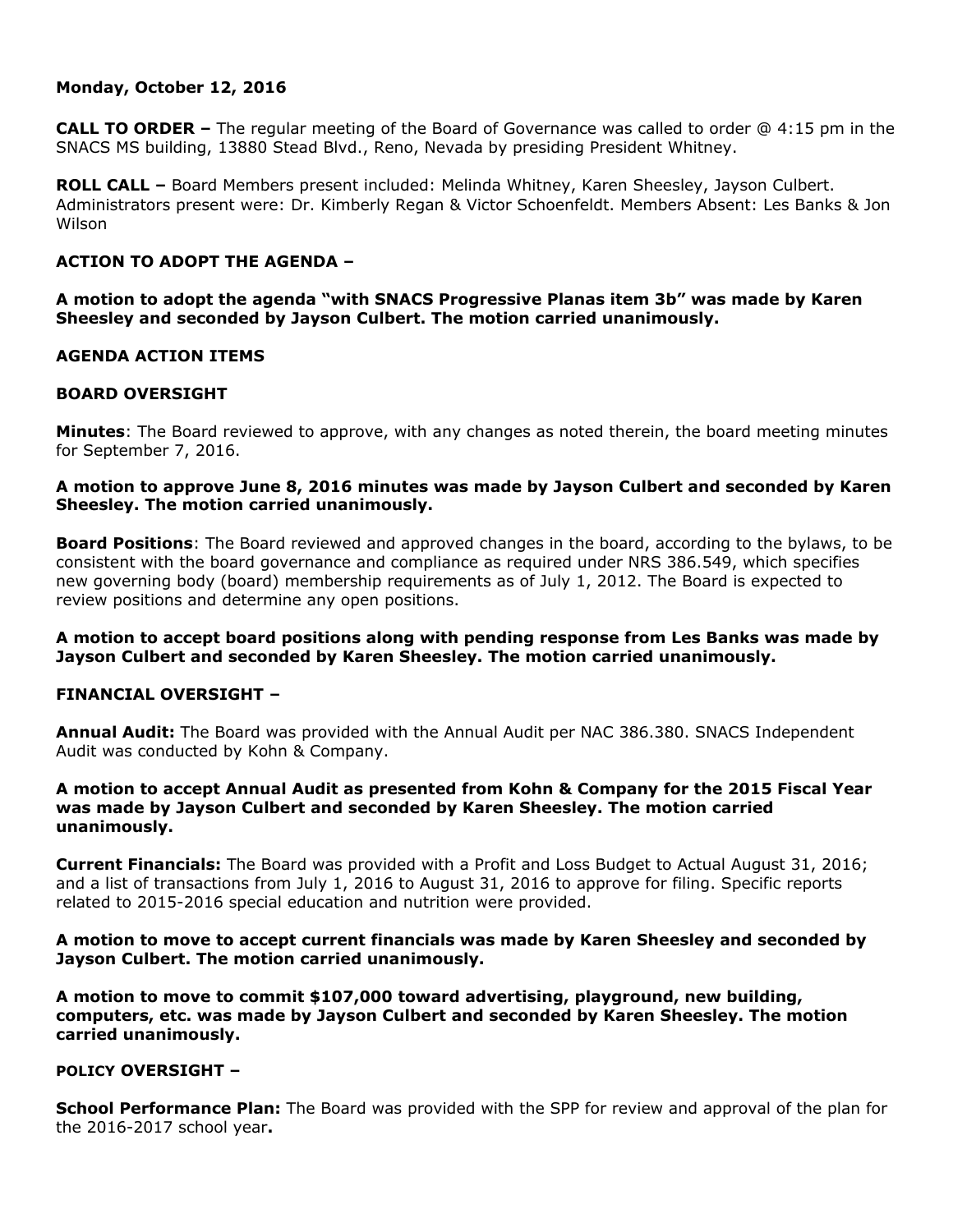## **Monday, October 12, 2016**

**CALL TO ORDER –** The regular meeting of the Board of Governance was called to order @ 4:15 pm in the SNACS MS building, 13880 Stead Blvd., Reno, Nevada by presiding President Whitney.

**ROLL CALL –** Board Members present included: Melinda Whitney, Karen Sheesley, Jayson Culbert. Administrators present were: Dr. Kimberly Regan & Victor Schoenfeldt. Members Absent: Les Banks & Jon Wilson

# **ACTION TO ADOPT THE AGENDA –**

**A motion to adopt the agenda "with SNACS Progressive Planas item 3b" was made by Karen Sheesley and seconded by Jayson Culbert. The motion carried unanimously.** 

## **AGENDA ACTION ITEMS**

## **BOARD OVERSIGHT**

**Minutes**: The Board reviewed to approve, with any changes as noted therein, the board meeting minutes for September 7, 2016.

## **A motion to approve June 8, 2016 minutes was made by Jayson Culbert and seconded by Karen Sheesley. The motion carried unanimously.**

**Board Positions**: The Board reviewed and approved changes in the board, according to the bylaws, to be consistent with the board governance and compliance as required under NRS 386.549, which specifies new governing body (board) membership requirements as of July 1, 2012. The Board is expected to review positions and determine any open positions.

**A motion to accept board positions along with pending response from Les Banks was made by Jayson Culbert and seconded by Karen Sheesley. The motion carried unanimously.** 

### **FINANCIAL OVERSIGHT –**

**Annual Audit:** The Board was provided with the Annual Audit per NAC 386.380. SNACS Independent Audit was conducted by Kohn & Company.

### **A motion to accept Annual Audit as presented from Kohn & Company for the 2015 Fiscal Year was made by Jayson Culbert and seconded by Karen Sheesley. The motion carried unanimously.**

**Current Financials:** The Board was provided with a Profit and Loss Budget to Actual August 31, 2016; and a list of transactions from July 1, 2016 to August 31, 2016 to approve for filing. Specific reports related to 2015-2016 special education and nutrition were provided.

### **A motion to move to accept current financials was made by Karen Sheesley and seconded by Jayson Culbert. The motion carried unanimously.**

**A motion to move to commit \$107,000 toward advertising, playground, new building, computers, etc. was made by Jayson Culbert and seconded by Karen Sheesley. The motion carried unanimously.**

### **POLICY OVERSIGHT –**

**School Performance Plan:** The Board was provided with the SPP for review and approval of the plan for the 2016-2017 school year**.**